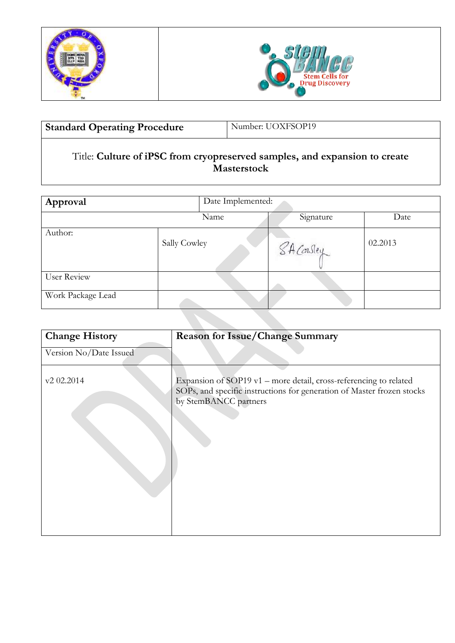



| Number: UOXFSOP19<br><b>Standard Operating Procedure</b> |
|----------------------------------------------------------|
|----------------------------------------------------------|

 $\overline{a}$ 

# Title: **Culture of iPSC from cryopreserved samples, and expansion to create Masterstock**

| Approval          | Date Implemented: |            |         |  |  |
|-------------------|-------------------|------------|---------|--|--|
|                   | Name              | Signature  | Date    |  |  |
| Author:           | Sally Cowley      | SA Consley | 02.2013 |  |  |
| User Review       |                   |            |         |  |  |
| Work Package Lead |                   |            |         |  |  |

| <b>Change History</b>  | <b>Reason for Issue/Change Summary</b>                                                                                                                               |  |
|------------------------|----------------------------------------------------------------------------------------------------------------------------------------------------------------------|--|
| Version No/Date Issued |                                                                                                                                                                      |  |
| v2 02.2014             | Expansion of SOP19 v1 - more detail, cross-referencing to related<br>SOPs, and specific instructions for generation of Master frozen stocks<br>by StemBANCC partners |  |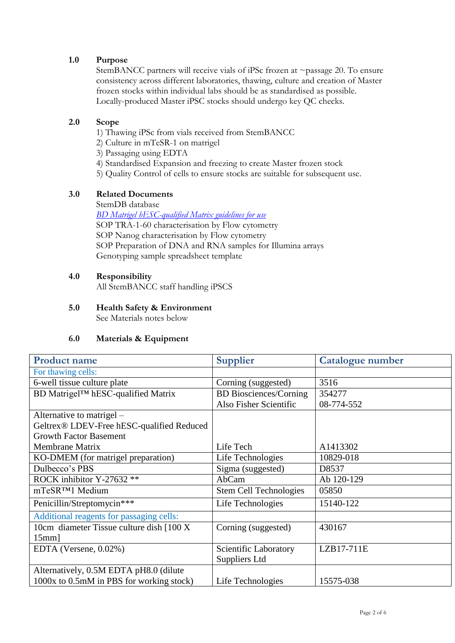# **1.0 Purpose**

StemBANCC partners will receive vials of iPSc frozen at ~passage 20. To ensure consistency across different laboratories, thawing, culture and creation of Master frozen stocks within individual labs should be as standardised as possible. Locally-produced Master iPSC stocks should undergo key QC checks.

### **2.0 Scope**

- 1) Thawing iPSc from vials received from StemBANCC
- 2) Culture in mTeSR-1 on matrigel
- 3) Passaging using EDTA
- 4) Standardised Expansion and freezing to create Master frozen stock
- 5) Quality Control of cells to ensure stocks are suitable for subsequent use.

# **3.0 Related Documents**

StemDB database *[BD Matrigel hESC-qualified Matrix guidelines for use](http://www.bdbiosciences.com/external_files/dl/doc/manuals/live/web_enabled/354277_pug.pdf)* SOP TRA-1-60 characterisation by Flow cytometry SOP Nanog characterisation by Flow cytometry SOP Preparation of DNA and RNA samples for Illumina arrays

### **4.0 Responsibility**

All StemBANCC staff handling iPSCS

Genotyping sample spreadsheet template

**5.0 Health Safety & Environment** See Materials notes below

#### **6.0 Materials & Equipment**

| <b>Product name</b>                       | <b>Supplier</b>               | <b>Catalogue number</b> |
|-------------------------------------------|-------------------------------|-------------------------|
| For thawing cells:                        |                               |                         |
| 6-well tissue culture plate               | Corning (suggested)           | 3516                    |
| BD Matrigel™ hESC-qualified Matrix        | <b>BD</b> Biosciences/Corning | 354277                  |
|                                           | Also Fisher Scientific        | 08-774-552              |
| Alternative to matrigel –                 |                               |                         |
| Geltrex® LDEV-Free hESC-qualified Reduced |                               |                         |
| <b>Growth Factor Basement</b>             |                               |                         |
| Membrane Matrix                           | Life Tech                     | A1413302                |
| KO-DMEM (for matrigel preparation)        | Life Technologies             | 10829-018               |
| Dulbecco's PBS                            | Sigma (suggested)             | D8537                   |
| ROCK inhibitor Y-27632 **                 | AbCam                         | Ab 120-129              |
| mTeSR <sup>TM</sup> 1 Medium              | <b>Stem Cell Technologies</b> | 05850                   |
| Penicillin/Streptomycin***                | Life Technologies             | 15140-122               |
| Additional reagents for passaging cells:  |                               |                         |
| 10cm diameter Tissue culture dish [100 X] | Corning (suggested)           | 430167                  |
| $15mm$ ]                                  |                               |                         |
| EDTA (Versene, 0.02%)                     | Scientific Laboratory         | $LZB17-711E$            |
|                                           | Suppliers Ltd                 |                         |
| Alternatively, 0.5M EDTA pH8.0 (dilute    |                               |                         |
| 1000x to 0.5mM in PBS for working stock)  | Life Technologies             | 15575-038               |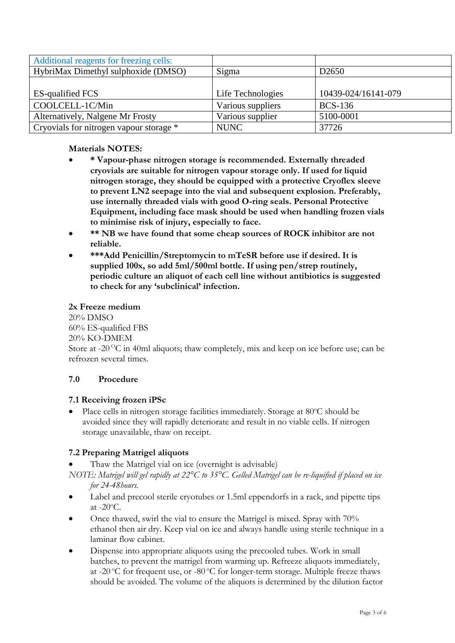| Additional reagents for freezing cells: |                   |                     |
|-----------------------------------------|-------------------|---------------------|
| HybriMax Dimethyl sulphoxide (DMSO)     | Sigma             | D <sub>2650</sub>   |
|                                         |                   |                     |
| <b>ES-qualified FCS</b>                 | Life Technologies | 10439-024/16141-079 |
| COOLCELL-1C/Min                         | Various suppliers | <b>BCS-136</b>      |
| Alternatively, Nalgene Mr Frosty        | Various supplier  | 5100-0001           |
| Cryovials for nitrogen vapour storage * | <b>NUNC</b>       | 37726               |

### **Materials NOTES:**

- **\* Vapour-phase nitrogen storage is recommended. Externally threaded cryovials are suitable for nitrogen vapour storage only. If used for liquid nitrogen storage, they should be equipped with a protective Cryoflex sleeve to prevent LN2 seepage into the vial and subsequent explosion. Preferably, use internally threaded vials with good O-ring seals. Personal Protective Equipment, including face mask should be used when handling frozen vials to minimise risk of injury, especially to face.**
- **\*\* NB we have found that some cheap sources of ROCK inhibitor are not reliable.**
- **\*\*\*Add Penicillin/Streptomycin to mTeSR before use if desired. It is supplied 100x, so add 5ml/500ml bottle. If using pen/strep routinely, periodic culture an aliquot of each cell line without antibiotics is suggested to check for any 'subclinical' infection.**

#### **2x Freeze medium**

20% DMSO 60% ES-qualified FBS 20% KO-DMEM Store at -20<sup>o</sup>C in 40ml aliquots; thaw completely, mix and keep on ice before use; can be refrozen several times.

#### **7.0 Procedure**

#### **7.1 Receiving frozen iPSc**

Place cells in nitrogen storage facilities immediately. Storage at  $80^{\circ}$ C should be avoided since they will rapidly deteriorate and result in no viable cells. If nitrogen storage unavailable, thaw on receipt.

#### **7.2 Preparing Matrigel aliquots**

- Thaw the Matrigel vial on ice (overnight is advisable)
- *NOTE: Matrigel will gel rapidly at 22°C to 35°C. Gelled Matrigel can be re-liquified if placed on ice for 24-48hours.*
- Label and precool sterile cryotubes or 1.5ml eppendorfs in a rack, and pipette tips at  $-20^{\circ}$ C.
- Once thawed, swirl the vial to ensure the Matrigel is mixed. Spray with 70% ethanol then air dry. Keep vial on ice and always handle using sterile technique in a laminar flow cabinet.
- Dispense into appropriate aliquots using the precooled tubes. Work in small batches, to prevent the matrigel from warming up. Refreeze aliquots immediately, at -20  $^{\circ}$ C for frequent use, or -80  $^{\circ}$ C for longer-term storage. Multiple freeze thaws should be avoided. The volume of the aliquots is determined by the dilution factor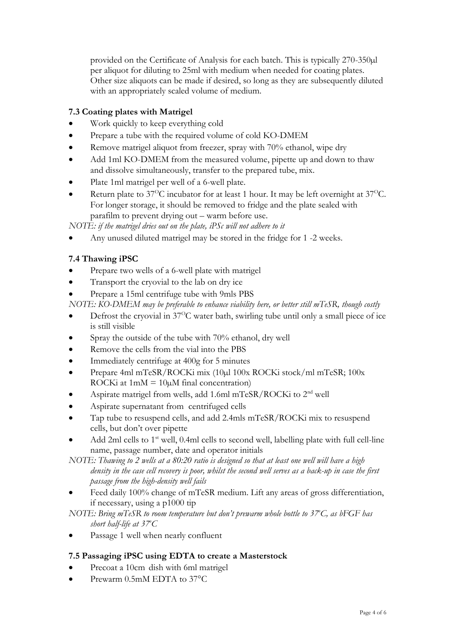provided on the Certificate of Analysis for each batch. This is typically 270-350µl per aliquot for diluting to 25ml with medium when needed for coating plates. Other size aliquots can be made if desired, so long as they are subsequently diluted with an appropriately scaled volume of medium.

# **7.3 Coating plates with Matrigel**

- Work quickly to keep everything cold
- Prepare a tube with the required volume of cold KO-DMEM
- Remove matrigel aliquot from freezer, spray with 70% ethanol, wipe dry
- Add 1ml KO-DMEM from the measured volume, pipette up and down to thaw and dissolve simultaneously, transfer to the prepared tube, mix.
- Plate 1ml matrigel per well of a 6-well plate.
- Return plate to  $37^{\circ}$ C incubator for at least 1 hour. It may be left overnight at  $37^{\circ}$ C. For longer storage, it should be removed to fridge and the plate sealed with parafilm to prevent drying out – warm before use.

*NOTE: if the matrigel dries out on the plate, iPSc will not adhere to it*

Any unused diluted matrigel may be stored in the fridge for 1 -2 weeks.

# **7.4 Thawing iPSC**

- Prepare two wells of a 6-well plate with matrigel
- Transport the cryovial to the lab on dry ice
- Prepare a 15ml centrifuge tube with 9mls PBS
- *NOTE: KO-DMEM may be preferable to enhance viability here, or better still mTeSR, though costly*
- Defrost the cryovial in  $37^{\circ}$ C water bath, swirling tube until only a small piece of ice is still visible
- Spray the outside of the tube with 70% ethanol, dry well
- Remove the cells from the vial into the PBS
- Immediately centrifuge at 400g for 5 minutes
- Prepare 4ml mTeSR/ROCKi mix (10µl 100x ROCKi stock/ml mTeSR; 100x ROCKi at  $1mM = 10\mu M$  final concentration)
- Aspirate matrigel from wells, add 1.6ml mTeSR/ROCKi to 2nd well
- Aspirate supernatant from centrifuged cells
- Tap tube to resuspend cells, and add 2.4mls mTeSR/ROCKi mix to resuspend cells, but don't over pipette
- Add 2ml cells to  $1<sup>st</sup>$  well, 0.4ml cells to second well, labelling plate with full cell-line name, passage number, date and operator initials

*NOTE: Thawing to 2 wells at a 80:20 ratio is designed so that at least one well will have a high density in the case cell recovery is poor, whilst the second well serves as a back-up in case the first passage from the high-density well fails*

 Feed daily 100% change of mTeSR medium. Lift any areas of gross differentiation, if necessary, using a p1000 tip

*NOTE: Bring mTeSR to room temperature but don't prewarm whole bottle to 37<sup>o</sup>C, as bFGF has short half-life at 37<sup>o</sup>C*

Passage 1 well when nearly confluent

# **7.5 Passaging iPSC using EDTA to create a Masterstock**

- Precoat a 10cm dish with 6ml matrigel
- Prewarm 0.5mM EDTA to 37°C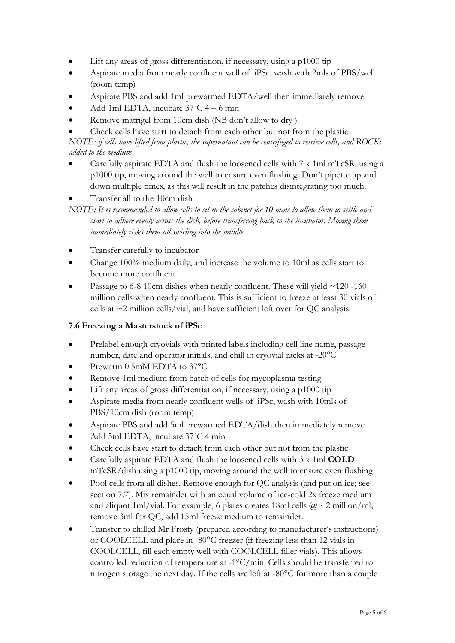- Lift any areas of gross differentiation, if necessary, using a p1000 tip
- Aspirate media from nearly confluent well of iPSc, wash with 2mls of PBS/well (room temp)
- Aspirate PBS and add 1ml prewarmed EDTA/well then immediately remove
- $\bullet$  Add 1ml EDTA, incubate 37°C 4 6 min
- Remove matrigel from 10cm dish (NB don't allow to dry )
- Check cells have start to detach from each other but not from the plastic

*NOTE: if cells have lifted from plastic, the supernatant can be centrifuged to retrieve cells, and ROCKi added to the medium*

- Carefully aspirate EDTA and flush the loosened cells with 7 x 1ml mTeSR, using a p1000 tip, moving around the well to ensure even flushing. Don't pipette up and down multiple times, as this will result in the patches disintegrating too much.
- Transfer all to the 10cm dish

- Transfer carefully to incubator
- Change 100% medium daily, and increase the volume to 10ml as cells start to become more confluent
- Passage to 6-8 10cm dishes when nearly confluent. These will yield  $\sim$ 120 -160 million cells when nearly confluent. This is sufficient to freeze at least 30 vials of cells at ~2 million cells/vial, and have sufficient left over for QC analysis.

# **7.6 Freezing a Masterstock of iPSc**

- Prelabel enough cryovials with printed labels including cell line name, passage number, date and operator initials, and chill in cryovial racks at -20°C
- Prewarm 0.5mM EDTA to 37°C
- Remove 1ml medium from batch of cells for mycoplasma testing
- Lift any areas of gross differentiation, if necessary, using a p1000 tip
- Aspirate media from nearly confluent wells of iPSc, wash with 10mls of PBS/10cm dish (room temp)
- Aspirate PBS and add 5ml prewarmed EDTA/dish then immediately remove
- Add 5ml EDTA, incubate 37˚C 4 min
- Check cells have start to detach from each other but not from the plastic
- Carefully aspirate EDTA and flush the loosened cells with 3 x 1ml **COLD**  mTeSR/dish using a p1000 tip, moving around the well to ensure even flushing
- Pool cells from all dishes. Remove enough for QC analysis (and put on ice; see section 7.7). Mix remainder with an equal volume of ice-cold 2x freeze medium and aliquot 1ml/vial. For example, 6 plates creates 18ml cells  $(\partial z \sim 2 \text{ million/ml})$ ; remove 3ml for QC, add 15ml freeze medium to remainder.
- Transfer to chilled Mr Frosty (prepared according to manufacturer's instructions) or COOLCELL and place in -80°C freezer (if freezing less than 12 vials in COOLCELL, fill each empty well with COOLCELL filler vials). This allows controlled reduction of temperature at -1°C/min. Cells should be transferred to nitrogen storage the next day. If the cells are left at -80°C for more than a couple

*NOTE: It is recommended to allow cells to sit in the cabinet for 10 mins to allow them to settle and start to adhere evenly across the dish, before transferring back to the incubator. Moving them immediately risks them all swirling into the middle*